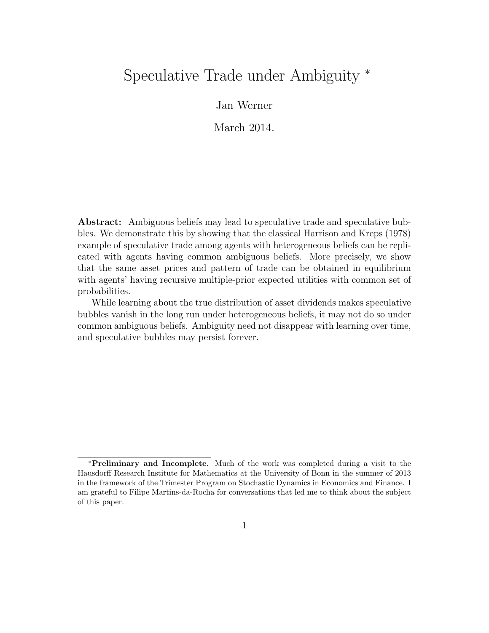# Speculative Trade under Ambiguity <sup>∗</sup>

Jan Werner

March 2014.

Abstract: Ambiguous beliefs may lead to speculative trade and speculative bubbles. We demonstrate this by showing that the classical Harrison and Kreps (1978) example of speculative trade among agents with heterogeneous beliefs can be replicated with agents having common ambiguous beliefs. More precisely, we show that the same asset prices and pattern of trade can be obtained in equilibrium with agents' having recursive multiple-prior expected utilities with common set of probabilities.

While learning about the true distribution of asset dividends makes speculative bubbles vanish in the long run under heterogeneous beliefs, it may not do so under common ambiguous beliefs. Ambiguity need not disappear with learning over time, and speculative bubbles may persist forever.

<sup>∗</sup>Preliminary and Incomplete. Much of the work was completed during a visit to the Hausdorff Research Institute for Mathematics at the University of Bonn in the summer of 2013 in the framework of the Trimester Program on Stochastic Dynamics in Economics and Finance. I am grateful to Filipe Martins-da-Rocha for conversations that led me to think about the subject of this paper.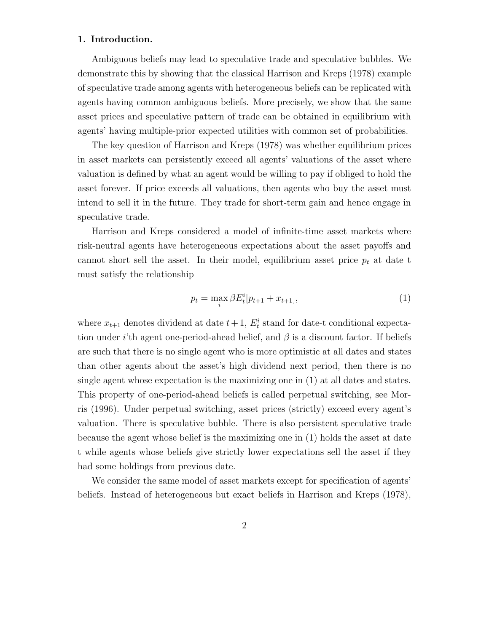# 1. Introduction.

Ambiguous beliefs may lead to speculative trade and speculative bubbles. We demonstrate this by showing that the classical Harrison and Kreps (1978) example of speculative trade among agents with heterogeneous beliefs can be replicated with agents having common ambiguous beliefs. More precisely, we show that the same asset prices and speculative pattern of trade can be obtained in equilibrium with agents' having multiple-prior expected utilities with common set of probabilities.

The key question of Harrison and Kreps (1978) was whether equilibrium prices in asset markets can persistently exceed all agents' valuations of the asset where valuation is defined by what an agent would be willing to pay if obliged to hold the asset forever. If price exceeds all valuations, then agents who buy the asset must intend to sell it in the future. They trade for short-term gain and hence engage in speculative trade.

Harrison and Kreps considered a model of infinite-time asset markets where risk-neutral agents have heterogeneous expectations about the asset payoffs and cannot short sell the asset. In their model, equilibrium asset price  $p_t$  at date t must satisfy the relationship

$$
p_t = \max_i \beta E_t^i [p_{t+1} + x_{t+1}], \tag{1}
$$

where  $x_{t+1}$  denotes dividend at date  $t+1$ ,  $E_t^i$  stand for date-t conditional expectation under *i*'th agent one-period-ahead belief, and  $\beta$  is a discount factor. If beliefs are such that there is no single agent who is more optimistic at all dates and states than other agents about the asset's high dividend next period, then there is no single agent whose expectation is the maximizing one in (1) at all dates and states. This property of one-period-ahead beliefs is called perpetual switching, see Morris (1996). Under perpetual switching, asset prices (strictly) exceed every agent's valuation. There is speculative bubble. There is also persistent speculative trade because the agent whose belief is the maximizing one in (1) holds the asset at date t while agents whose beliefs give strictly lower expectations sell the asset if they had some holdings from previous date.

We consider the same model of asset markets except for specification of agents' beliefs. Instead of heterogeneous but exact beliefs in Harrison and Kreps (1978),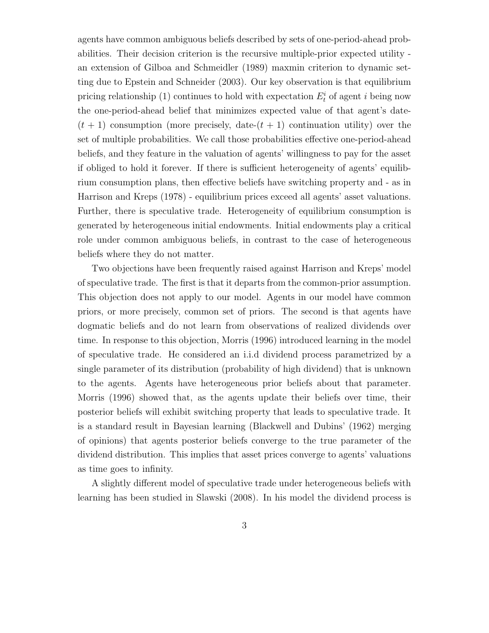agents have common ambiguous beliefs described by sets of one-period-ahead probabilities. Their decision criterion is the recursive multiple-prior expected utility an extension of Gilboa and Schmeidler (1989) maxmin criterion to dynamic setting due to Epstein and Schneider (2003). Our key observation is that equilibrium pricing relationship (1) continues to hold with expectation  $E_t^i$  of agent i being now the one-period-ahead belief that minimizes expected value of that agent's date-  $(t + 1)$  consumption (more precisely, date- $(t + 1)$ ) continuation utility) over the set of multiple probabilities. We call those probabilities effective one-period-ahead beliefs, and they feature in the valuation of agents' willingness to pay for the asset if obliged to hold it forever. If there is sufficient heterogeneity of agents' equilibrium consumption plans, then effective beliefs have switching property and - as in Harrison and Kreps (1978) - equilibrium prices exceed all agents' asset valuations. Further, there is speculative trade. Heterogeneity of equilibrium consumption is generated by heterogeneous initial endowments. Initial endowments play a critical role under common ambiguous beliefs, in contrast to the case of heterogeneous beliefs where they do not matter.

Two objections have been frequently raised against Harrison and Kreps' model of speculative trade. The first is that it departs from the common-prior assumption. This objection does not apply to our model. Agents in our model have common priors, or more precisely, common set of priors. The second is that agents have dogmatic beliefs and do not learn from observations of realized dividends over time. In response to this objection, Morris (1996) introduced learning in the model of speculative trade. He considered an i.i.d dividend process parametrized by a single parameter of its distribution (probability of high dividend) that is unknown to the agents. Agents have heterogeneous prior beliefs about that parameter. Morris (1996) showed that, as the agents update their beliefs over time, their posterior beliefs will exhibit switching property that leads to speculative trade. It is a standard result in Bayesian learning (Blackwell and Dubins' (1962) merging of opinions) that agents posterior beliefs converge to the true parameter of the dividend distribution. This implies that asset prices converge to agents' valuations as time goes to infinity.

A slightly different model of speculative trade under heterogeneous beliefs with learning has been studied in Slawski (2008). In his model the dividend process is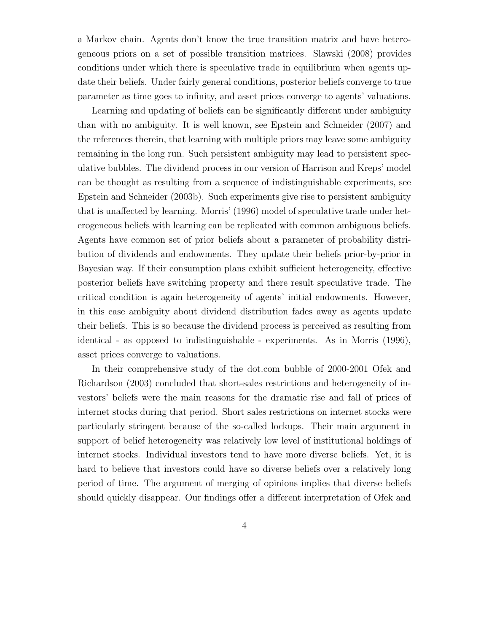a Markov chain. Agents don't know the true transition matrix and have heterogeneous priors on a set of possible transition matrices. Slawski (2008) provides conditions under which there is speculative trade in equilibrium when agents update their beliefs. Under fairly general conditions, posterior beliefs converge to true parameter as time goes to infinity, and asset prices converge to agents' valuations.

Learning and updating of beliefs can be significantly different under ambiguity than with no ambiguity. It is well known, see Epstein and Schneider (2007) and the references therein, that learning with multiple priors may leave some ambiguity remaining in the long run. Such persistent ambiguity may lead to persistent speculative bubbles. The dividend process in our version of Harrison and Kreps' model can be thought as resulting from a sequence of indistinguishable experiments, see Epstein and Schneider (2003b). Such experiments give rise to persistent ambiguity that is unaffected by learning. Morris' (1996) model of speculative trade under heterogeneous beliefs with learning can be replicated with common ambiguous beliefs. Agents have common set of prior beliefs about a parameter of probability distribution of dividends and endowments. They update their beliefs prior-by-prior in Bayesian way. If their consumption plans exhibit sufficient heterogeneity, effective posterior beliefs have switching property and there result speculative trade. The critical condition is again heterogeneity of agents' initial endowments. However, in this case ambiguity about dividend distribution fades away as agents update their beliefs. This is so because the dividend process is perceived as resulting from identical - as opposed to indistinguishable - experiments. As in Morris (1996), asset prices converge to valuations.

In their comprehensive study of the dot.com bubble of 2000-2001 Ofek and Richardson (2003) concluded that short-sales restrictions and heterogeneity of investors' beliefs were the main reasons for the dramatic rise and fall of prices of internet stocks during that period. Short sales restrictions on internet stocks were particularly stringent because of the so-called lockups. Their main argument in support of belief heterogeneity was relatively low level of institutional holdings of internet stocks. Individual investors tend to have more diverse beliefs. Yet, it is hard to believe that investors could have so diverse beliefs over a relatively long period of time. The argument of merging of opinions implies that diverse beliefs should quickly disappear. Our findings offer a different interpretation of Ofek and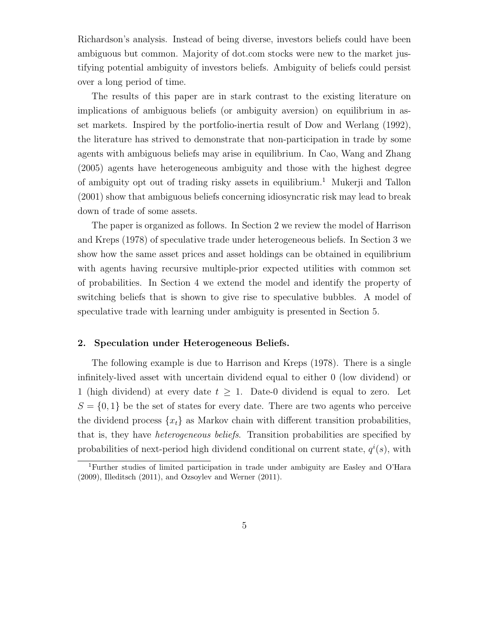Richardson's analysis. Instead of being diverse, investors beliefs could have been ambiguous but common. Majority of dot.com stocks were new to the market justifying potential ambiguity of investors beliefs. Ambiguity of beliefs could persist over a long period of time.

The results of this paper are in stark contrast to the existing literature on implications of ambiguous beliefs (or ambiguity aversion) on equilibrium in asset markets. Inspired by the portfolio-inertia result of Dow and Werlang (1992), the literature has strived to demonstrate that non-participation in trade by some agents with ambiguous beliefs may arise in equilibrium. In Cao, Wang and Zhang (2005) agents have heterogeneous ambiguity and those with the highest degree of ambiguity opt out of trading risky assets in equilibrium.<sup>1</sup> Mukerji and Tallon (2001) show that ambiguous beliefs concerning idiosyncratic risk may lead to break down of trade of some assets.

The paper is organized as follows. In Section 2 we review the model of Harrison and Kreps (1978) of speculative trade under heterogeneous beliefs. In Section 3 we show how the same asset prices and asset holdings can be obtained in equilibrium with agents having recursive multiple-prior expected utilities with common set of probabilities. In Section 4 we extend the model and identify the property of switching beliefs that is shown to give rise to speculative bubbles. A model of speculative trade with learning under ambiguity is presented in Section 5.

## 2. Speculation under Heterogeneous Beliefs.

The following example is due to Harrison and Kreps (1978). There is a single infinitely-lived asset with uncertain dividend equal to either 0 (low dividend) or 1 (high dividend) at every date  $t \geq 1$ . Date-0 dividend is equal to zero. Let  $S = \{0, 1\}$  be the set of states for every date. There are two agents who perceive the dividend process  $\{x_t\}$  as Markov chain with different transition probabilities, that is, they have heterogeneous beliefs. Transition probabilities are specified by probabilities of next-period high dividend conditional on current state,  $q^{i}(s)$ , with

<sup>1</sup>Further studies of limited participation in trade under ambiguity are Easley and O'Hara (2009), Illeditsch (2011), and Ozsoylev and Werner (2011).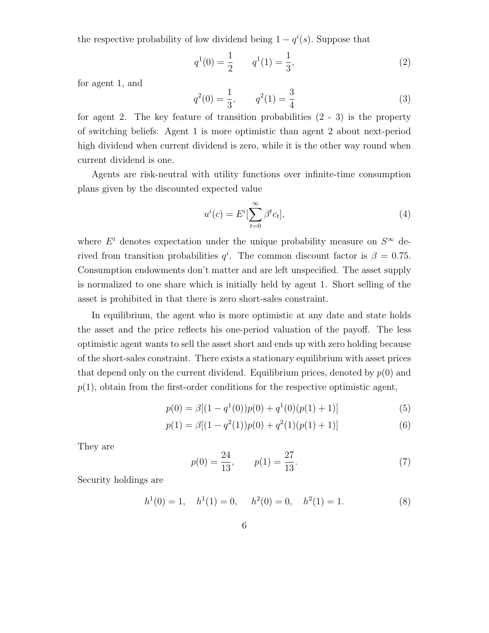the respective probability of low dividend being  $1 - q^{i}(s)$ . Suppose that

$$
q^{1}(0) = \frac{1}{2} \qquad q^{1}(1) = \frac{1}{3}, \tag{2}
$$

for agent 1, and

$$
q^{2}(0) = \frac{1}{3}, \qquad q^{2}(1) = \frac{3}{4}
$$
 (3)

for agent 2. The key feature of transition probabilities  $(2 - 3)$  is the property of switching beliefs: Agent 1 is more optimistic than agent 2 about next-period high dividend when current dividend is zero, while it is the other way round when current dividend is one.

Agents are risk-neutral with utility functions over infinite-time consumption plans given by the discounted expected value

$$
u^{i}(c) = E^{i}[\sum_{t=0}^{\infty} \beta^{t} c_{t}],
$$
\n(4)

where  $E^i$  denotes expectation under the unique probability measure on  $S^{\infty}$  derived from transition probabilities  $q^i$ . The common discount factor is  $\beta = 0.75$ . Consumption endowments don't matter and are left unspecified. The asset supply is normalized to one share which is initially held by agent 1. Short selling of the asset is prohibited in that there is zero short-sales constraint.

In equilibrium, the agent who is more optimistic at any date and state holds the asset and the price reflects his one-period valuation of the payoff. The less optimistic agent wants to sell the asset short and ends up with zero holding because of the short-sales constraint. There exists a stationary equilibrium with asset prices that depend only on the current dividend. Equilibrium prices, denoted by  $p(0)$  and  $p(1)$ , obtain from the first-order conditions for the respective optimistic agent,

$$
p(0) = \beta[(1 - q^{1}(0))p(0) + q^{1}(0)(p(1) + 1)]
$$
\n(5)

$$
p(1) = \beta[(1 - q^2(1))p(0) + q^2(1)(p(1) + 1)]
$$
\n(6)

They are

$$
p(0) = \frac{24}{13}, \qquad p(1) = \frac{27}{13}.\tag{7}
$$

Security holdings are

$$
h1(0) = 1, \quad h1(1) = 0, \quad h2(0) = 0, \quad h2(1) = 1.
$$
 (8)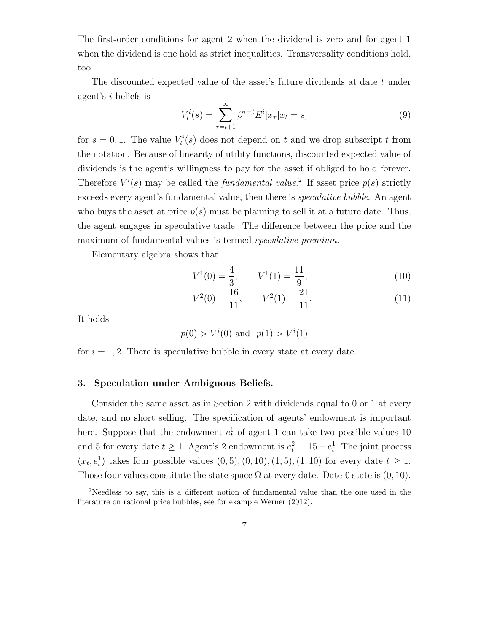The first-order conditions for agent 2 when the dividend is zero and for agent 1 when the dividend is one hold as strict inequalities. Transversality conditions hold, too.

The discounted expected value of the asset's future dividends at date t under agent's i beliefs is

$$
V_t^i(s) = \sum_{\tau=t+1}^{\infty} \beta^{\tau-t} E^i[x_{\tau} | x_t = s]
$$
 (9)

for  $s = 0, 1$ . The value  $V_t^i(s)$  does not depend on t and we drop subscript t from the notation. Because of linearity of utility functions, discounted expected value of dividends is the agent's willingness to pay for the asset if obliged to hold forever. Therefore  $V^i(s)$  may be called the *fundamental value*.<sup>2</sup> If asset price  $p(s)$  strictly exceeds every agent's fundamental value, then there is speculative bubble. An agent who buys the asset at price  $p(s)$  must be planning to sell it at a future date. Thus, the agent engages in speculative trade. The difference between the price and the maximum of fundamental values is termed *speculative premium*.

Elementary algebra shows that

$$
V^{1}(0) = \frac{4}{3}, \qquad V^{1}(1) = \frac{11}{9}, \tag{10}
$$

$$
V^2(0) = \frac{16}{11}, \qquad V^2(1) = \frac{21}{11}.
$$
 (11)

It holds

$$
p(0) > Vi(0)
$$
 and  $p(1) > Vi(1)$ 

for  $i = 1, 2$ . There is speculative bubble in every state at every date.

## 3. Speculation under Ambiguous Beliefs.

Consider the same asset as in Section 2 with dividends equal to 0 or 1 at every date, and no short selling. The specification of agents' endowment is important here. Suppose that the endowment  $e_t^1$  of agent 1 can take two possible values 10 and 5 for every date  $t \geq 1$ . Agent's 2 endowment is  $e_t^2 = 15 - e_t^1$ . The joint process  $(x_t, e_t^1)$  takes four possible values  $(0, 5), (0, 10), (1, 5), (1, 10)$  for every date  $t \ge 1$ . Those four values constitute the state space  $\Omega$  at every date. Date-0 state is  $(0, 10)$ .

<sup>2</sup>Needless to say, this is a different notion of fundamental value than the one used in the literature on rational price bubbles, see for example Werner (2012).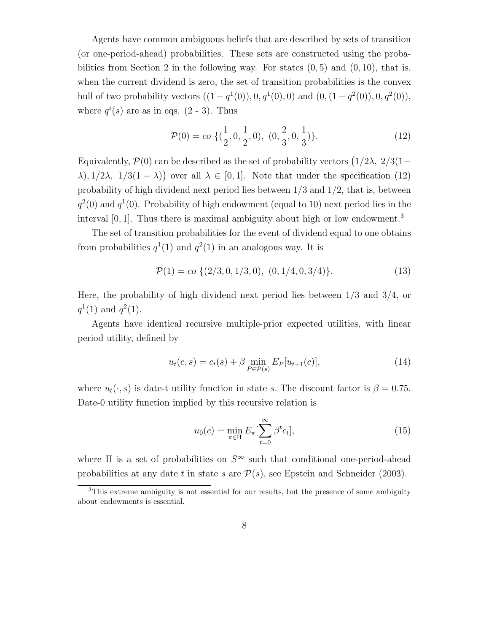Agents have common ambiguous beliefs that are described by sets of transition (or one-period-ahead) probabilities. These sets are constructed using the probabilities from Section 2 in the following way. For states  $(0, 5)$  and  $(0, 10)$ , that is, when the current dividend is zero, the set of transition probabilities is the convex hull of two probability vectors  $((1 - q<sup>1</sup>(0)), 0, q<sup>1</sup>(0), 0)$  and  $(0, (1 - q<sup>2</sup>(0)), 0, q<sup>2</sup>(0)),$ where  $q^{i}(s)$  are as in eqs.  $(2 - 3)$ . Thus

$$
\mathcal{P}(0) = co \{ (\frac{1}{2}, 0, \frac{1}{2}, 0), (0, \frac{2}{3}, 0, \frac{1}{3}) \}.
$$
 (12)

Equivalently,  $\mathcal{P}(0)$  can be described as the set of probability vectors  $(1/2\lambda, 2/3(1-\lambda))$  $(\lambda), 1/2\lambda, 1/3(1-\lambda)$  over all  $\lambda \in [0,1]$ . Note that under the specification (12) probability of high dividend next period lies between 1/3 and 1/2, that is, between  $q^2(0)$  and  $q^1(0)$ . Probability of high endowment (equal to 10) next period lies in the interval  $[0, 1]$ . Thus there is maximal ambiguity about high or low endowment.<sup>3</sup>

The set of transition probabilities for the event of dividend equal to one obtains from probabilities  $q^1(1)$  and  $q^2(1)$  in an analogous way. It is

$$
\mathcal{P}(1) = co \{ (2/3, 0, 1/3, 0), (0, 1/4, 0, 3/4) \}. \tag{13}
$$

Here, the probability of high dividend next period lies between 1/3 and 3/4, or  $q^1(1)$  and  $q^2(1)$ .

Agents have identical recursive multiple-prior expected utilities, with linear period utility, defined by

$$
u_t(c,s) = c_t(s) + \beta \min_{P \in \mathcal{P}(s)} E_P[u_{t+1}(c)], \qquad (14)
$$

where  $u_t(\cdot, s)$  is date-t utility function in state s. The discount factor is  $\beta = 0.75$ . Date-0 utility function implied by this recursive relation is

$$
u_0(c) = \min_{\pi \in \Pi} E_{\pi} \left[ \sum_{t=0}^{\infty} \beta^t c_t \right],
$$
\n(15)

where  $\Pi$  is a set of probabilities on  $S^{\infty}$  such that conditional one-period-ahead probabilities at any date t in state s are  $P(s)$ , see Epstein and Schneider (2003).

<sup>3</sup>This extreme ambiguity is not essential for our results, but the presence of some ambiguity about endowments is essential.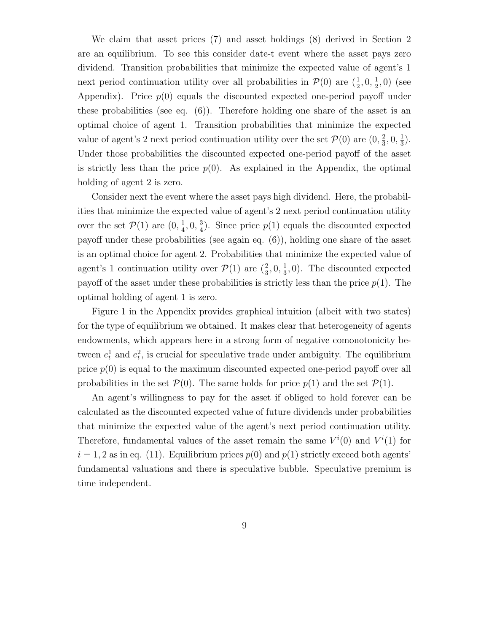We claim that asset prices (7) and asset holdings (8) derived in Section 2 are an equilibrium. To see this consider date-t event where the asset pays zero dividend. Transition probabilities that minimize the expected value of agent's 1 next period continuation utility over all probabilities in  $\mathcal{P}(0)$  are  $(\frac{1}{2}, 0, \frac{1}{2})$  $(\frac{1}{2}, 0)$  (see Appendix). Price  $p(0)$  equals the discounted expected one-period payoff under these probabilities (see eq.  $(6)$ ). Therefore holding one share of the asset is an optimal choice of agent 1. Transition probabilities that minimize the expected value of agent's 2 next period continuation utility over the set  $\mathcal{P}(0)$  are  $(0, \frac{2}{3})$  $\frac{2}{3}, 0, \frac{1}{3}$  $\frac{1}{3}$ . Under those probabilities the discounted expected one-period payoff of the asset is strictly less than the price  $p(0)$ . As explained in the Appendix, the optimal holding of agent 2 is zero.

Consider next the event where the asset pays high dividend. Here, the probabilities that minimize the expected value of agent's 2 next period continuation utility over the set  $\mathcal{P}(1)$  are  $(0, \frac{1}{4})$  $\frac{1}{4}$ , 0,  $\frac{3}{4}$  $\frac{3}{4}$ ). Since price  $p(1)$  equals the discounted expected payoff under these probabilities (see again eq. (6)), holding one share of the asset is an optimal choice for agent 2. Probabilities that minimize the expected value of agent's 1 continuation utility over  $\mathcal{P}(1)$  are  $(\frac{2}{3}, 0, \frac{1}{3})$  $(\frac{1}{3}, 0)$ . The discounted expected payoff of the asset under these probabilities is strictly less than the price  $p(1)$ . The optimal holding of agent 1 is zero.

Figure 1 in the Appendix provides graphical intuition (albeit with two states) for the type of equilibrium we obtained. It makes clear that heterogeneity of agents endowments, which appears here in a strong form of negative comonotonicity between  $e_t^1$  and  $e_t^2$ , is crucial for speculative trade under ambiguity. The equilibrium price  $p(0)$  is equal to the maximum discounted expected one-period payoff over all probabilities in the set  $\mathcal{P}(0)$ . The same holds for price  $p(1)$  and the set  $\mathcal{P}(1)$ .

An agent's willingness to pay for the asset if obliged to hold forever can be calculated as the discounted expected value of future dividends under probabilities that minimize the expected value of the agent's next period continuation utility. Therefore, fundamental values of the asset remain the same  $V^{i}(0)$  and  $V^{i}(1)$  for  $i = 1, 2$  as in eq. (11). Equilibrium prices  $p(0)$  and  $p(1)$  strictly exceed both agents' fundamental valuations and there is speculative bubble. Speculative premium is time independent.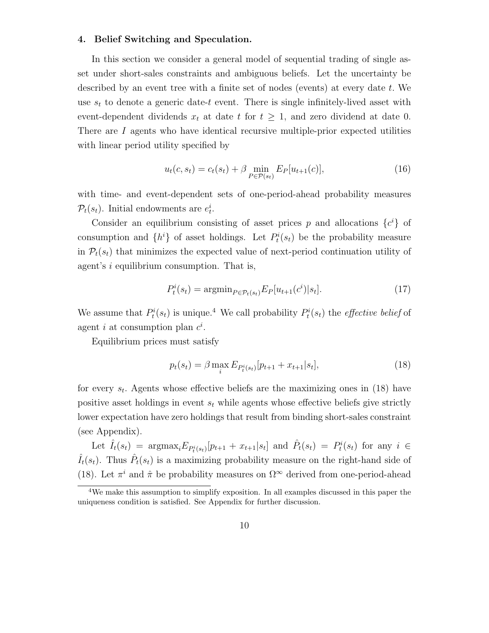## 4. Belief Switching and Speculation.

In this section we consider a general model of sequential trading of single asset under short-sales constraints and ambiguous beliefs. Let the uncertainty be described by an event tree with a finite set of nodes (events) at every date  $t$ . We use  $s_t$  to denote a generic date-t event. There is single infinitely-lived asset with event-dependent dividends  $x_t$  at date t for  $t \geq 1$ , and zero dividend at date 0. There are I agents who have identical recursive multiple-prior expected utilities with linear period utility specified by

$$
u_t(c, s_t) = c_t(s_t) + \beta \min_{P \in \mathcal{P}(s_t)} E_P[u_{t+1}(c)], \qquad (16)
$$

with time- and event-dependent sets of one-period-ahead probability measures  $\mathcal{P}_t(s_t)$ . Initial endowments are  $e_t^i$ .

Consider an equilibrium consisting of asset prices p and allocations  $\{c^i\}$  of consumption and  $\{h^i\}$  of asset holdings. Let  $P_t^i(s_t)$  be the probability measure in  $\mathcal{P}_t(s_t)$  that minimizes the expected value of next-period continuation utility of agent's i equilibrium consumption. That is,

$$
P_t^i(s_t) = \operatorname{argmin}_{P \in \mathcal{P}_t(s_t)} E_P[u_{t+1}(c^i)|s_t].
$$
\n(17)

We assume that  $P_t^i(s_t)$  is unique.<sup>4</sup> We call probability  $P_t^i(s_t)$  the *effective belief* of agent *i* at consumption plan  $c^i$ .

Equilibrium prices must satisfy

$$
p_t(s_t) = \beta \max_i E_{P_t^i(s_t)}[p_{t+1} + x_{t+1}|s_t],
$$
\n(18)

for every  $s_t$ . Agents whose effective beliefs are the maximizing ones in (18) have positive asset holdings in event  $s_t$  while agents whose effective beliefs give strictly lower expectation have zero holdings that result from binding short-sales constraint (see Appendix).

Let  $\hat{I}_t(s_t) = \text{argmax}_i E_{P_t^i(s_t)}[p_{t+1} + x_{t+1}|s_t]$  and  $\hat{P}_t(s_t) = P_t^i(s_t)$  for any  $i \in$  $\hat{I}_t(s_t)$ . Thus  $\hat{P}_t(s_t)$  is a maximizing probability measure on the right-hand side of (18). Let  $\pi^{i}$  and  $\hat{\pi}$  be probability measures on  $\Omega^{\infty}$  derived from one-period-ahead

<sup>4</sup>We make this assumption to simplify exposition. In all examples discussed in this paper the uniqueness condition is satisfied. See Appendix for further discussion.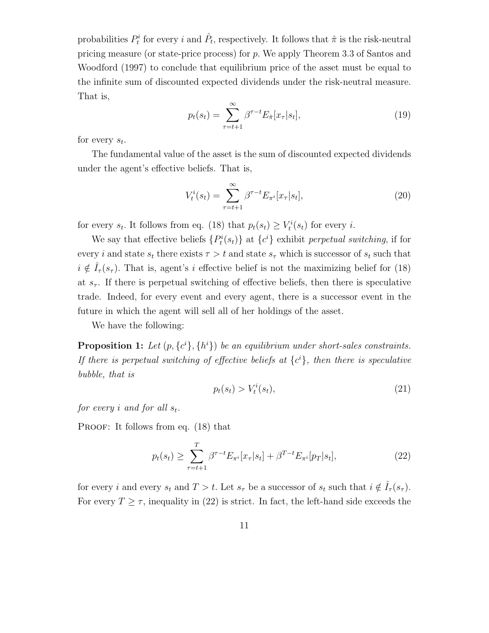probabilities  $P_t^i$  for every i and  $\hat{P}_t$ , respectively. It follows that  $\hat{\pi}$  is the risk-neutral pricing measure (or state-price process) for p. We apply Theorem 3.3 of Santos and Woodford (1997) to conclude that equilibrium price of the asset must be equal to the infinite sum of discounted expected dividends under the risk-neutral measure. That is,

$$
p_t(s_t) = \sum_{\tau=t+1}^{\infty} \beta^{\tau-t} E_{\hat{\pi}}[x_{\tau}|s_t],\tag{19}
$$

for every  $s_t$ .

The fundamental value of the asset is the sum of discounted expected dividends under the agent's effective beliefs. That is,

$$
V_t^i(s_t) = \sum_{\tau=t+1}^{\infty} \beta^{\tau-t} E_{\pi^i}[x_{\tau}|s_t],
$$
\n(20)

for every  $s_t$ . It follows from eq. (18) that  $p_t(s_t) \geq V_t^i(s_t)$  for every *i*.

We say that effective beliefs  $\{P_t^i(s_t)\}\$ at  $\{c^i\}$  exhibit perpetual switching, if for every i and state  $s_t$  there exists  $\tau > t$  and state  $s_{\tau}$  which is successor of  $s_t$  such that  $i \notin I_{\tau}(s_{\tau}).$  That is, agent's i effective belief is not the maximizing belief for (18) at  $s_{\tau}$ . If there is perpetual switching of effective beliefs, then there is speculative trade. Indeed, for every event and every agent, there is a successor event in the future in which the agent will sell all of her holdings of the asset.

We have the following:

**Proposition 1:** Let  $(p, \{c^i\}, \{h^i\})$  be an equilibrium under short-sales constraints. If there is perpetual switching of effective beliefs at  $\{c^i\}$ , then there is speculative bubble, that is

$$
p_t(s_t) > V_t^i(s_t),\tag{21}
$$

for every i and for all  $s_t$ .

PROOF: It follows from eq.  $(18)$  that

$$
p_t(s_t) \ge \sum_{\tau=t+1}^T \beta^{\tau-t} E_{\pi^i}[x_\tau | s_t] + \beta^{T-t} E_{\pi^i}[p_T | s_t],\tag{22}
$$

for every i and every  $s_t$  and  $T > t$ . Let  $s_{\tau}$  be a successor of  $s_t$  such that  $i \notin I_{\tau}(s_{\tau})$ . For every  $T \geq \tau$ , inequality in (22) is strict. In fact, the left-hand side exceeds the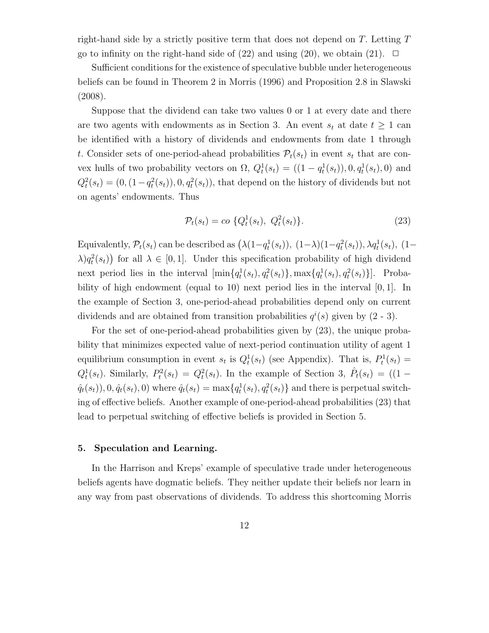right-hand side by a strictly positive term that does not depend on  $T$ . Letting  $T$ go to infinity on the right-hand side of (22) and using (20), we obtain (21).  $\Box$ 

Sufficient conditions for the existence of speculative bubble under heterogeneous beliefs can be found in Theorem 2 in Morris (1996) and Proposition 2.8 in Slawski (2008).

Suppose that the dividend can take two values 0 or 1 at every date and there are two agents with endowments as in Section 3. An event  $s_t$  at date  $t \geq 1$  can be identified with a history of dividends and endowments from date 1 through t. Consider sets of one-period-ahead probabilities  $\mathcal{P}_t(s_t)$  in event  $s_t$  that are convex hulls of two probability vectors on  $\Omega$ ,  $Q_t^1(s_t) = ((1 - q_t^1(s_t)), 0, q_t^1(s_t), 0)$  and  $Q_t^2(s_t) = (0, (1 - q_t^2(s_t)), 0, q_t^2(s_t)),$  that depend on the history of dividends but not on agents' endowments. Thus

$$
\mathcal{P}_t(s_t) = c o \{ Q_t^1(s_t), \ Q_t^2(s_t) \}.
$$
\n(23)

Equivalently,  $\mathcal{P}_t(s_t)$  can be described as  $(\lambda(1-q_t^1(s_t)), (1-\lambda)(1-q_t^2(s_t)), \lambda q_t^1(s_t), (1-\lambda)$  $\lambda) q_t^2(s_t)$  for all  $\lambda \in [0,1]$ . Under this specification probability of high dividend next period lies in the interval  $[\min\{q_t^1(s_t), q_t^2(s_t)\}, \max\{q_t^1(s_t), q_t^2(s_t)\}].$  Probability of high endowment (equal to 10) next period lies in the interval  $[0, 1]$ . In the example of Section 3, one-period-ahead probabilities depend only on current dividends and are obtained from transition probabilities  $q^{i}(s)$  given by  $(2-3)$ .

For the set of one-period-ahead probabilities given by (23), the unique probability that minimizes expected value of next-period continuation utility of agent 1 equilibrium consumption in event  $s_t$  is  $Q_t^1(s_t)$  (see Appendix). That is,  $P_t^1(s_t)$  =  $Q_t^1(s_t)$ . Similarly,  $P_t^2(s_t) = Q_t^2(s_t)$ . In the example of Section 3,  $\hat{P}_t(s_t) = (1 \hat{q}_t(s_t)$ , 0,  $\hat{q}_t(s_t)$ , 0) where  $\hat{q}_t(s_t) = \max\{q_t^1(s_t), q_t^2(s_t)\}\$  and there is perpetual switching of effective beliefs. Another example of one-period-ahead probabilities (23) that lead to perpetual switching of effective beliefs is provided in Section 5.

## 5. Speculation and Learning.

In the Harrison and Kreps' example of speculative trade under heterogeneous beliefs agents have dogmatic beliefs. They neither update their beliefs nor learn in any way from past observations of dividends. To address this shortcoming Morris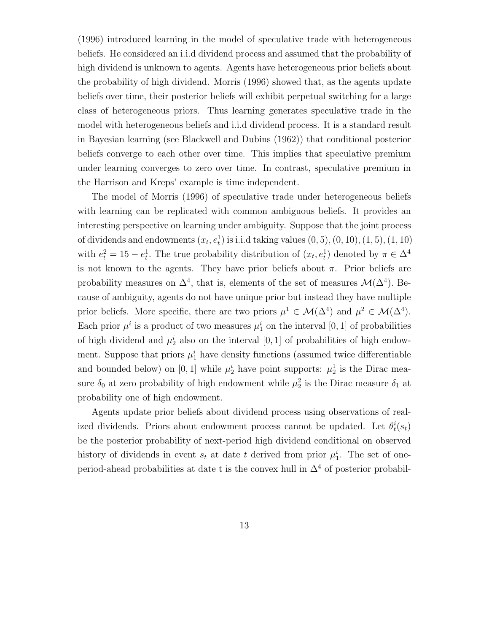(1996) introduced learning in the model of speculative trade with heterogeneous beliefs. He considered an i.i.d dividend process and assumed that the probability of high dividend is unknown to agents. Agents have heterogeneous prior beliefs about the probability of high dividend. Morris (1996) showed that, as the agents update beliefs over time, their posterior beliefs will exhibit perpetual switching for a large class of heterogeneous priors. Thus learning generates speculative trade in the model with heterogeneous beliefs and i.i.d dividend process. It is a standard result in Bayesian learning (see Blackwell and Dubins (1962)) that conditional posterior beliefs converge to each other over time. This implies that speculative premium under learning converges to zero over time. In contrast, speculative premium in the Harrison and Kreps' example is time independent.

The model of Morris (1996) of speculative trade under heterogeneous beliefs with learning can be replicated with common ambiguous beliefs. It provides an interesting perspective on learning under ambiguity. Suppose that the joint process of dividends and endowments  $(x_t, e_t^1)$  is i.i.d taking values  $(0, 5)$ ,  $(0, 10)$ ,  $(1, 5)$ ,  $(1, 10)$ with  $e_t^2 = 15 - e_t^1$ . The true probability distribution of  $(x_t, e_t^1)$  denoted by  $\pi \in \Delta^4$ is not known to the agents. They have prior beliefs about  $\pi$ . Prior beliefs are probability measures on  $\Delta^4$ , that is, elements of the set of measures  $\mathcal{M}(\Delta^4)$ . Because of ambiguity, agents do not have unique prior but instead they have multiple prior beliefs. More specific, there are two priors  $\mu^1 \in \mathcal{M}(\Delta^4)$  and  $\mu^2 \in \mathcal{M}(\Delta^4)$ . Each prior  $\mu^i$  is a product of two measures  $\mu_1^i$  on the interval [0, 1] of probabilities of high dividend and  $\mu_2^i$  also on the interval [0, 1] of probabilities of high endowment. Suppose that priors  $\mu_1^i$  have density functions (assumed twice differentiable and bounded below) on [0, 1] while  $\mu_2^i$  have point supports:  $\mu_2^1$  is the Dirac measure  $\delta_0$  at zero probability of high endowment while  $\mu_2^2$  is the Dirac measure  $\delta_1$  at probability one of high endowment.

Agents update prior beliefs about dividend process using observations of realized dividends. Priors about endowment process cannot be updated. Let  $\theta_t^i(s_t)$ be the posterior probability of next-period high dividend conditional on observed history of dividends in event  $s_t$  at date t derived from prior  $\mu_1^i$ . The set of oneperiod-ahead probabilities at date t is the convex hull in  $\Delta^4$  of posterior probabil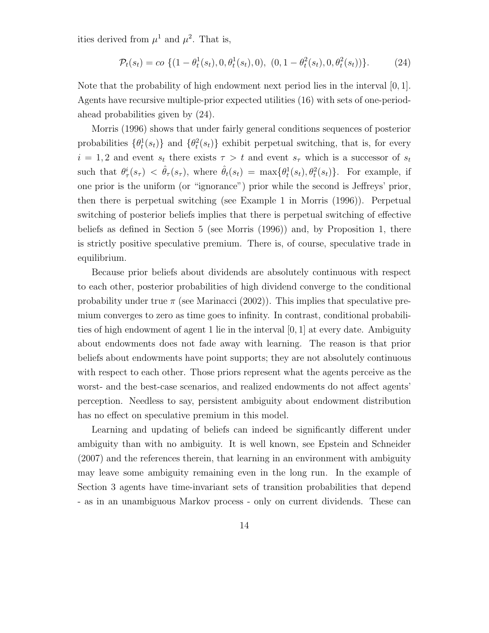ities derived from  $\mu^1$  and  $\mu^2$ . That is,

$$
\mathcal{P}_t(s_t) = c o \left\{ (1 - \theta_t^1(s_t), 0, \theta_t^1(s_t), 0), (0, 1 - \theta_t^2(s_t), 0, \theta_t^2(s_t)) \right\}.
$$
 (24)

Note that the probability of high endowment next period lies in the interval [0, 1]. Agents have recursive multiple-prior expected utilities (16) with sets of one-periodahead probabilities given by (24).

Morris (1996) shows that under fairly general conditions sequences of posterior probabilities  $\{\theta_t^1(s_t)\}\$ and  $\{\theta_t^2(s_t)\}\$ exhibit perpetual switching, that is, for every  $i = 1, 2$  and event  $s_t$  there exists  $\tau > t$  and event  $s_{\tau}$  which is a successor of  $s_t$ such that  $\theta_{\tau}^{i}(s_{\tau}) < \hat{\theta}_{\tau}(s_{\tau})$ , where  $\hat{\theta}_{t}(s_{t}) = \max{\theta_{t}^{1}(s_{t}), \theta_{t}^{2}(s_{t})}$ . For example, if one prior is the uniform (or "ignorance") prior while the second is Jeffreys' prior, then there is perpetual switching (see Example 1 in Morris (1996)). Perpetual switching of posterior beliefs implies that there is perpetual switching of effective beliefs as defined in Section 5 (see Morris (1996)) and, by Proposition 1, there is strictly positive speculative premium. There is, of course, speculative trade in equilibrium.

Because prior beliefs about dividends are absolutely continuous with respect to each other, posterior probabilities of high dividend converge to the conditional probability under true  $\pi$  (see Marinacci (2002)). This implies that speculative premium converges to zero as time goes to infinity. In contrast, conditional probabilities of high endowment of agent 1 lie in the interval  $[0, 1]$  at every date. Ambiguity about endowments does not fade away with learning. The reason is that prior beliefs about endowments have point supports; they are not absolutely continuous with respect to each other. Those priors represent what the agents perceive as the worst- and the best-case scenarios, and realized endowments do not affect agents' perception. Needless to say, persistent ambiguity about endowment distribution has no effect on speculative premium in this model.

Learning and updating of beliefs can indeed be significantly different under ambiguity than with no ambiguity. It is well known, see Epstein and Schneider (2007) and the references therein, that learning in an environment with ambiguity may leave some ambiguity remaining even in the long run. In the example of Section 3 agents have time-invariant sets of transition probabilities that depend - as in an unambiguous Markov process - only on current dividends. These can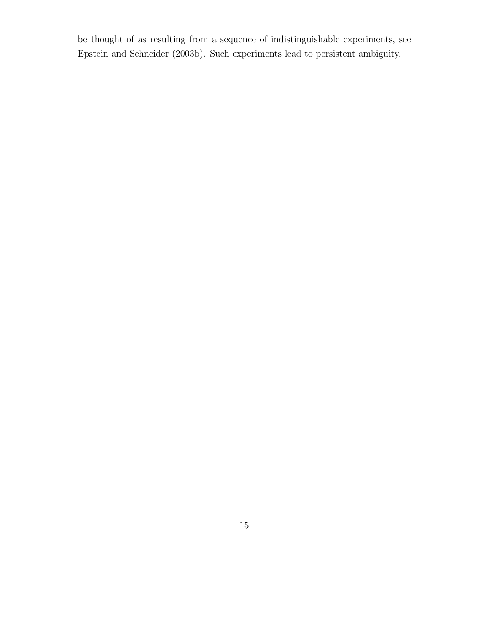be thought of as resulting from a sequence of indistinguishable experiments, see Epstein and Schneider (2003b). Such experiments lead to persistent ambiguity.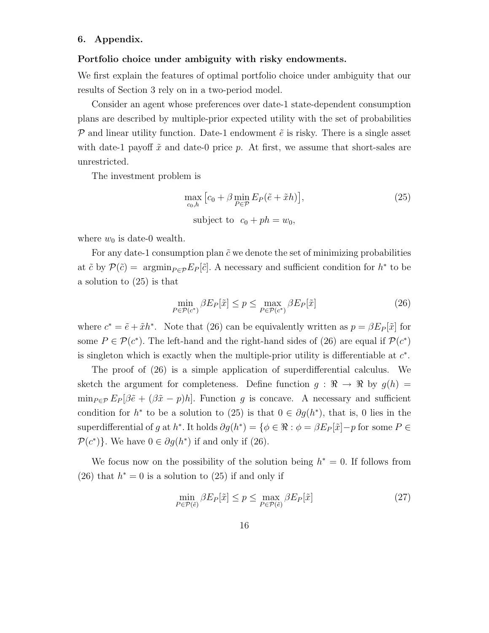## 6. Appendix.

#### Portfolio choice under ambiguity with risky endowments.

We first explain the features of optimal portfolio choice under ambiguity that our results of Section 3 rely on in a two-period model.

Consider an agent whose preferences over date-1 state-dependent consumption plans are described by multiple-prior expected utility with the set of probabilities  $\mathcal P$  and linear utility function. Date-1 endowment  $\tilde e$  is risky. There is a single asset with date-1 payoff  $\tilde{x}$  and date-0 price p. At first, we assume that short-sales are unrestricted.

The investment problem is

$$
\max_{c_0, h} \left[ c_0 + \beta \min_{P \in \mathcal{P}} E_P(\tilde{e} + \tilde{x}h) \right],
$$
\n
$$
\text{subject to } c_0 + ph = w_0,
$$
\n(25)

where  $w_0$  is date-0 wealth.

For any date-1 consumption plan  $\tilde{c}$  we denote the set of minimizing probabilities at  $\tilde{c}$  by  $\mathcal{P}(\tilde{c}) = \operatorname{argmin}_{P \in \mathcal{P}} E_P[\tilde{c}]$ . A necessary and sufficient condition for  $h^*$  to be a solution to (25) is that

$$
\min_{P \in \mathcal{P}(c^*)} \beta E_P[\tilde{x}] \le p \le \max_{P \in \mathcal{P}(c^*)} \beta E_P[\tilde{x}] \tag{26}
$$

where  $c^* = \tilde{e} + \tilde{x}h^*$ . Note that (26) can be equivalently written as  $p = \beta E_P[\tilde{x}]$  for some  $P \in \mathcal{P}(c^*)$ . The left-hand and the right-hand sides of (26) are equal if  $\mathcal{P}(c^*)$ is singleton which is exactly when the multiple-prior utility is differentiable at  $c^*$ .

The proof of (26) is a simple application of superdifferential calculus. We sketch the argument for completeness. Define function  $g : \mathbb{R} \to \mathbb{R}$  by  $g(h) =$  $\min_{P \in \mathcal{P}} E_P[\beta \tilde{e} + (\beta \tilde{x} - p)h].$  Function g is concave. A necessary and sufficient condition for  $h^*$  to be a solution to (25) is that  $0 \in \partial g(h^*)$ , that is, 0 lies in the superdifferential of g at h<sup>\*</sup>. It holds  $\partial g(h^*) = \{ \phi \in \Re : \phi = \beta E_P[\tilde{x}] - p$  for some  $P \in$  $\mathcal{P}(c^*)\}$ . We have  $0 \in \partial g(h^*)$  if and only if (26).

We focus now on the possibility of the solution being  $h^* = 0$ . If follows from (26) that  $h^* = 0$  is a solution to (25) if and only if

$$
\min_{P \in \mathcal{P}(\tilde{e})} \beta E_P[\tilde{x}] \le p \le \max_{P \in \mathcal{P}(\tilde{e})} \beta E_P[\tilde{x}] \tag{27}
$$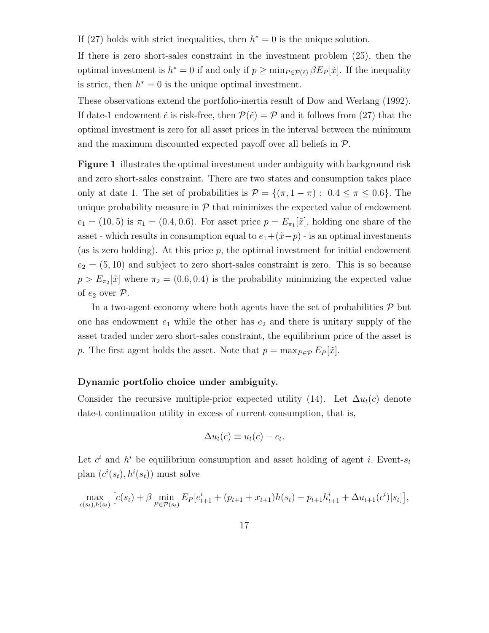If (27) holds with strict inequalities, then  $h^* = 0$  is the unique solution.

If there is zero short-sales constraint in the investment problem (25), then the optimal investment is  $h^* = 0$  if and only if  $p \ge \min_{P \in \mathcal{P}(\tilde{e})} \beta E_P[\tilde{x}]$ . If the inequality is strict, then  $h^* = 0$  is the unique optimal investment.

These observations extend the portfolio-inertia result of Dow and Werlang (1992). If date-1 endowment  $\tilde{e}$  is risk-free, then  $\mathcal{P}(\tilde{e}) = \mathcal{P}$  and it follows from (27) that the optimal investment is zero for all asset prices in the interval between the minimum and the maximum discounted expected payoff over all beliefs in  $\mathcal{P}$ .

Figure 1 illustrates the optimal investment under ambiguity with background risk and zero short-sales constraint. There are two states and consumption takes place only at date 1. The set of probabilities is  $\mathcal{P} = \{(\pi, 1 - \pi): 0.4 \leq \pi \leq 0.6\}$ . The unique probability measure in  $P$  that minimizes the expected value of endowment  $e_1 = (10, 5)$  is  $\pi_1 = (0.4, 0.6)$ . For asset price  $p = E_{\pi_1}[\tilde{x}]$ , holding one share of the asset - which results in consumption equal to  $e_1+(\tilde{x}-p)$  - is an optimal investments (as is zero holding). At this price  $p$ , the optimal investment for initial endowment  $e_2 = (5, 10)$  and subject to zero short-sales constraint is zero. This is so because  $p > E_{\pi_2}[\tilde{x}]$  where  $\pi_2 = (0.6, 0.4)$  is the probability minimizing the expected value of  $e_2$  over  $\mathcal{P}$ .

In a two-agent economy where both agents have the set of probabilities  $P$  but one has endowment  $e_1$  while the other has  $e_2$  and there is unitary supply of the asset traded under zero short-sales constraint, the equilibrium price of the asset is p. The first agent holds the asset. Note that  $p = \max_{P \in \mathcal{P}} E_P[\tilde{x}]$ .

## Dynamic portfolio choice under ambiguity.

Consider the recursive multiple-prior expected utility (14). Let  $\Delta u_t(c)$  denote date-t continuation utility in excess of current consumption, that is,

$$
\Delta u_t(c) \equiv u_t(c) - c_t.
$$

Let  $c^i$  and  $h^i$  be equilibrium consumption and asset holding of agent i. Event- $s_t$ plan  $(c^i(s_t), h^i(s_t))$  must solve

$$
\max_{c(s_t),h(s_t)} \left[ c(s_t) + \beta \min_{P \in \mathcal{P}(s_t)} E_P[e_{t+1}^i + (p_{t+1} + x_{t+1})h(s_t) - p_{t+1}h_{t+1}^i + \Delta u_{t+1}(c^i)|s_t] \right],
$$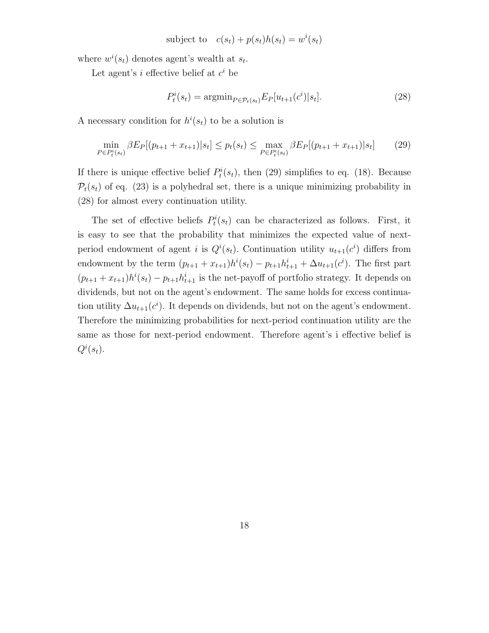subject to 
$$
c(s_t) + p(s_t)h(s_t) = w^i(s_t)
$$

where  $w^{i}(s_{t})$  denotes agent's wealth at  $s_{t}$ .

Let agent's *i* effective belief at  $c^i$  be

$$
P_t^i(s_t) = \operatorname{argmin}_{P \in \mathcal{P}_t(s_t)} E_P[u_{t+1}(c^i)|s_t].
$$
\n(28)

A necessary condition for  $h^{i}(s_t)$  to be a solution is

$$
\min_{P \in P_t^i(s_t)} \beta E_P[(p_{t+1} + x_{t+1}) | s_t] \le p_t(s_t) \le \max_{P \in P_t^i(s_t)} \beta E_P[(p_{t+1} + x_{t+1}) | s_t]
$$
(29)

If there is unique effective belief  $P_t^i(s_t)$ , then (29) simplifies to eq. (18). Because  $\mathcal{P}_t(s_t)$  of eq. (23) is a polyhedral set, there is a unique minimizing probability in (28) for almost every continuation utility.

The set of effective beliefs  $P_t^i(s_t)$  can be characterized as follows. First, it is easy to see that the probability that minimizes the expected value of nextperiod endowment of agent *i* is  $Q^{i}(s_t)$ . Continuation utility  $u_{t+1}(c^i)$  differs from endowment by the term  $(p_{t+1} + x_{t+1})h^{i}(s_t) - p_{t+1}h^{i}_{t+1} + \Delta u_{t+1}(c^{i}).$  The first part  $(p_{t+1} + x_{t+1})h^{i}(s_t) - p_{t+1}h^{i}_{t+1}$  is the net-payoff of portfolio strategy. It depends on dividends, but not on the agent's endowment. The same holds for excess continuation utility  $\Delta u_{t+1}(c^i)$ . It depends on dividends, but not on the agent's endowment. Therefore the minimizing probabilities for next-period continuation utility are the same as those for next-period endowment. Therefore agent's i effective belief is  $Q^i(s_t)$ .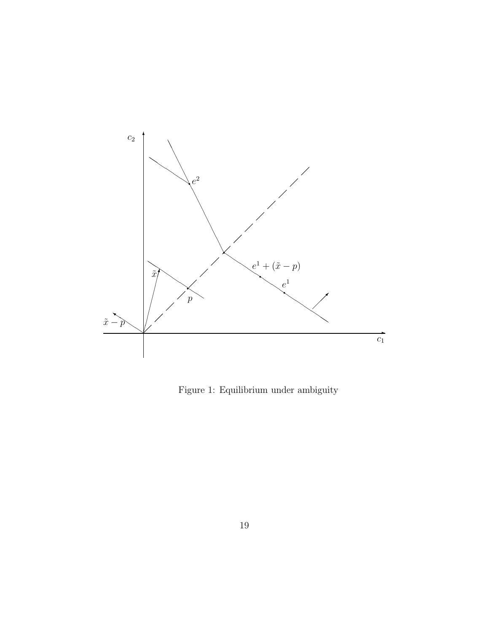

Figure 1: Equilibrium under ambiguity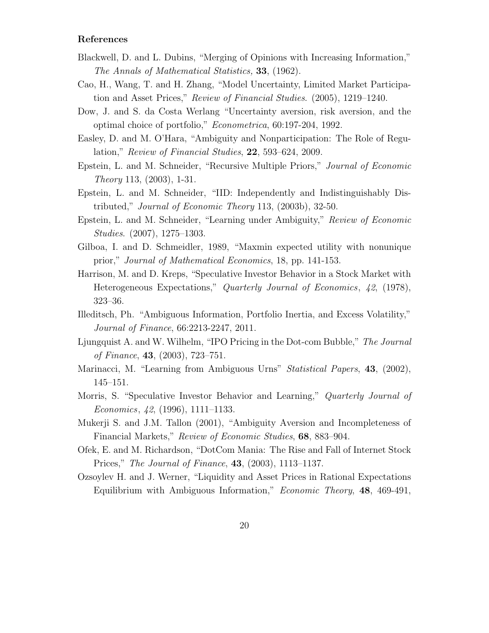# References

- Blackwell, D. and L. Dubins, "Merging of Opinions with Increasing Information," The Annals of Mathematical Statistics, 33, (1962).
- Cao, H., Wang, T. and H. Zhang, "Model Uncertainty, Limited Market Participation and Asset Prices," Review of Financial Studies. (2005), 1219–1240.
- Dow, J. and S. da Costa Werlang "Uncertainty aversion, risk aversion, and the optimal choice of portfolio," Econometrica, 60:197-204, 1992.
- Easley, D. and M. O'Hara, "Ambiguity and Nonparticipation: The Role of Regulation," Review of Financial Studies, 22, 593–624, 2009.
- Epstein, L. and M. Schneider, "Recursive Multiple Priors," Journal of Economic Theory 113, (2003), 1-31.
- Epstein, L. and M. Schneider, "IID: Independently and Indistinguishably Distributed," Journal of Economic Theory 113, (2003b), 32-50.
- Epstein, L. and M. Schneider, "Learning under Ambiguity," Review of Economic Studies. (2007), 1275–1303.
- Gilboa, I. and D. Schmeidler, 1989, "Maxmin expected utility with nonunique prior," Journal of Mathematical Economics, 18, pp. 141-153.
- Harrison, M. and D. Kreps, "Speculative Investor Behavior in a Stock Market with Heterogeneous Expectations," Quarterly Journal of Economics, 42, (1978), 323–36.
- Illeditsch, Ph. "Ambiguous Information, Portfolio Inertia, and Excess Volatility," Journal of Finance, 66:2213-2247, 2011.
- Ljungquist A. and W. Wilhelm, "IPO Pricing in the Dot-com Bubble," The Journal of Finance, 43, (2003), 723–751.
- Marinacci, M. "Learning from Ambiguous Urns" *Statistical Papers*, **43**, (2002), 145–151.
- Morris, S. "Speculative Investor Behavior and Learning," Quarterly Journal of Economics, 42, (1996), 1111–1133.
- Mukerji S. and J.M. Tallon (2001), "Ambiguity Aversion and Incompleteness of Financial Markets," Review of Economic Studies, 68, 883–904.
- Ofek, E. and M. Richardson, "DotCom Mania: The Rise and Fall of Internet Stock Prices," The Journal of Finance, 43, (2003), 1113–1137.
- Ozsoylev H. and J. Werner, "Liquidity and Asset Prices in Rational Expectations Equilibrium with Ambiguous Information," Economic Theory, 48, 469-491,